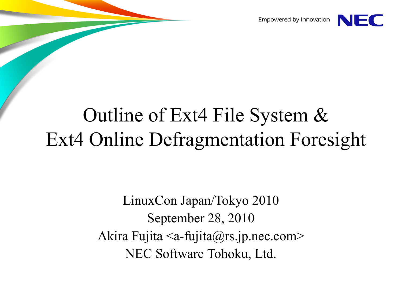Empowered by Innovation



#### Outline of Ext4 File System & Ext4 Online Defragmentation Foresight

LinuxCon Japan/Tokyo 2010 September 28, 2010 Akira Fujita <a-fujita@rs.jp.nec.com> NEC Software Tohoku, Ltd.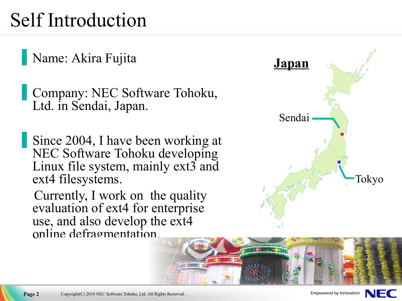#### Self Introduction

Name: Akira Fujita

Company: NEC Software Tohoku, Ltd. in Sendai, Japan.

Since 2004, I have been working at NEC Software Tohoku developing Linux file system, mainly  $ext{3}$  and ext4 filesystems.

Currently, I work on the quality evaluation of ext4 for enterprise use, and also develop the ext4 online defragmentation.





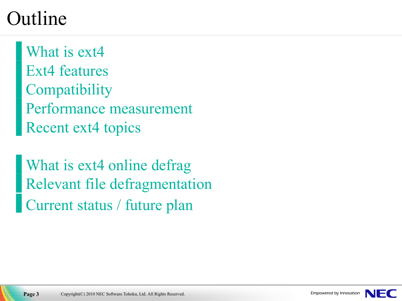#### Outline

[What](#page-3-0) is ext4 Ext4 [features](#page-4-0) **[Compatibility](#page-11-0)** [Performance](#page-12-0) measurement [Recent](#page-25-0) ext4 topics

What is ext4 [online](#page-27-0) defrage Relevant file [defragmentation](#page-28-0) [Current](#page-36-0) status / future plan

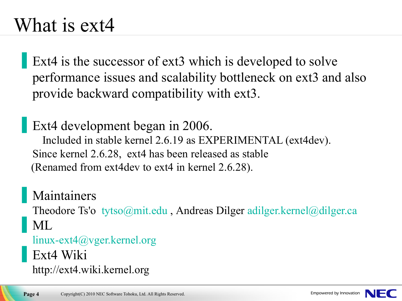#### <span id="page-3-0"></span>What is ext4

Ext4 is the successor of ext3 which is developed to solve performance issues and scalability bottleneck on ext3 and also provide backward compatibility with ext3.

Ext4 development began in 2006. Included in stable kernel 2.6.19 as EXPERIMENTAL (ext4dev). Since kernel 2.6.28, ext4 has been released as stable (Renamed from ext4dev to ext4 in kernel 2.6.28).

**Maintainers** Theodore Ts'o [tytso@mit.edu](mailto:tytso@mit.edu) , Andreas Dilger [adilger.kernel@dilger.ca](mailto:adilger.kernel@dilger.ca) ML [linux-ext4@vger.kernel.org](mailto:linux-ext4@vger.kernel.org)

Ext4 Wiki

http://ext4.wiki.kernel.org

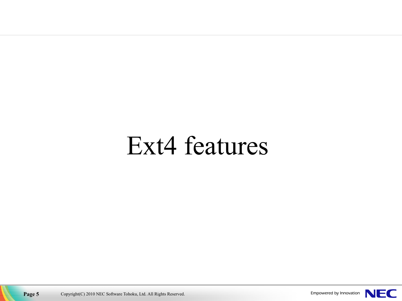# <span id="page-4-0"></span>Ext4 features

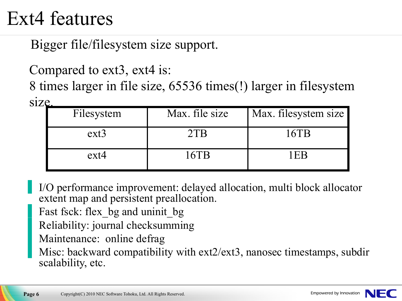#### Ext4 features

Bigger file/filesystem size support.

Compared to ext3, ext4 is:

8 times larger in file size, 65536 times(!) larger in filesystem size.

| Filesystem | Max. file size | Max. filesystem size |
|------------|----------------|----------------------|
| $ext{3}$   | 2TB            | 16TB                 |
| $ext{4}$   | 16TB           | $\cdot$ EP $\cdot$   |

I/O performance improvement: delayed allocation, multi block allocator extent map and persistent preallocation.

Fast fsck: flex bg and uninit bg

Reliability: journal checksumming

Maintenance: online defrag

Misc: backward compatibility with ext2/ext3, nanosec timestamps, subdir scalability, etc.

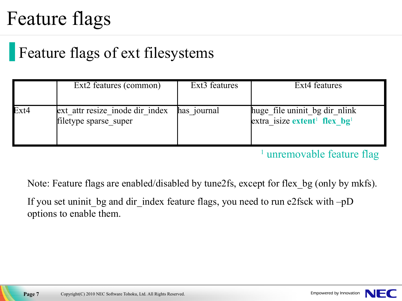#### Feature flags

#### Feature flags of ext filesystems

|      | Ext2 features (common)                                   | Ext <sub>3</sub> features | Ext4 features                                                                         |
|------|----------------------------------------------------------|---------------------------|---------------------------------------------------------------------------------------|
| Ext4 | ext attr resize inode dir index<br>filetype sparse_super | has journal               | huge file uninit bg dir nlink<br>extra isize extent <sup>1</sup> flex $b\mathbf{g}^1$ |

<sup>1</sup> unremovable feature flag

Note: Feature flags are enabled/disabled by tune2fs, except for flex\_bg (only by mkfs).

If you set uninit bg and dir index feature flags, you need to run e2fsck with –pD options to enable them.

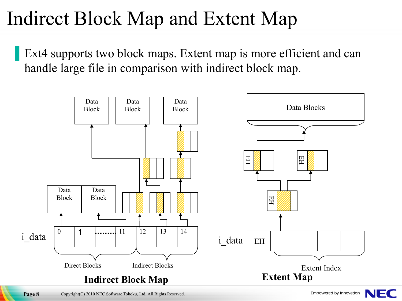### Indirect Block Map and Extent Map

Ext4 supports two block maps. Extent map is more efficient and can handle large file in comparison with indirect block map.



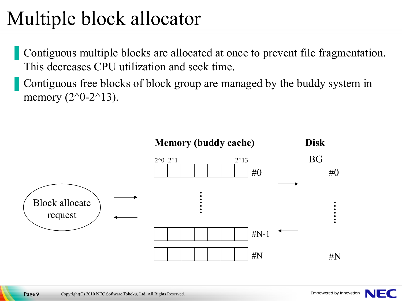## Multiple block allocator

Contiguous multiple blocks are allocated at once to prevent file fragmentation. This decreases CPU utilization and seek time.

Contiguous free blocks of block group are managed by the buddy system in memory  $(2^0-2^13)$ .



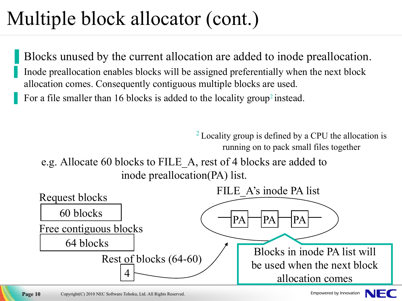# Multiple block allocator (cont.)

Blocks unused by the current allocation are added to inode preallocation. Inode preallocation enables blocks will be assigned preferentially when the next block allocation comes. Consequently contiguous multiple blocks are used. For a file smaller than 16 blocks is added to the locality group<sup>2</sup> instead.

> $2$  Locality group is defined by a CPU the allocation is running on to pack small files together

e.g. Allocate 60 blocks to FILE\_A, rest of 4 blocks are added to inode preallocation(PA) list.



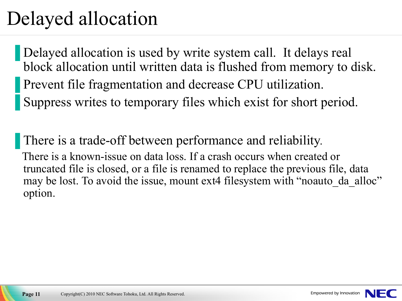#### Delayed allocation

Delayed allocation is used by write system call. It delays real block allocation until written data is flushed from memory to disk. Prevent file fragmentation and decrease CPU utilization. Suppress writes to temporary files which exist for short period.

There is a trade-off between performance and reliability. There is a known-issue on data loss. If a crash occurs when created or truncated file is closed, or a file is renamed to replace the previous file, data may be lost. To avoid the issue, mount ext4 filesystem with "noauto da alloc" option.

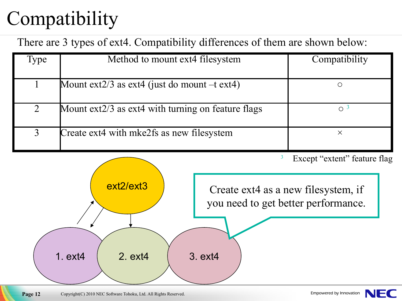# <span id="page-11-0"></span>**Compatibility**

There are 3 types of ext4. Compatibility differences of them are shown below:

| <b>Type</b> | Method to mount ext4 filesystem                         | Compatibility         |
|-------------|---------------------------------------------------------|-----------------------|
|             | Mount $ext{2/3}$ as $ext{4}$ (just do mount $-t ext4$ ) |                       |
| 2           | Mount ext2/3 as ext4 with turning on feature flags      | $\Omega$ <sup>3</sup> |
| 3           | Create ext4 with mke2fs as new filesystem               | Χ                     |

<sup>3</sup> Except "extent" feature flag

Create ext4 as a new filesystem, if you need to get better performance.

ext2/ext3

1. ext4 | 2. ext4 | 3. ext4

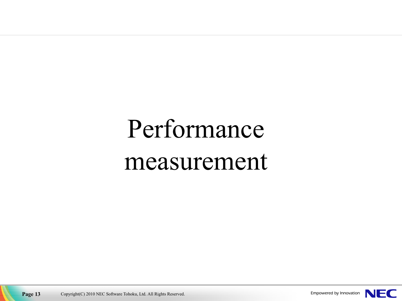# <span id="page-12-0"></span>Performance measurement

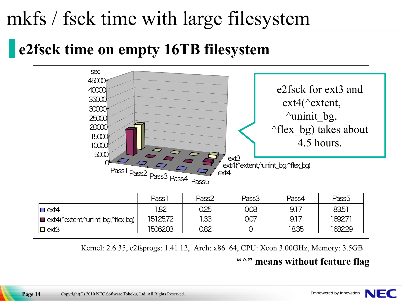### mkfs / fsck time with large filesystem

#### ▐ **e2fsck time on empty 16TB filesystem**



Kernel: 2.6.35, e2fsprogs: 1.41.12, Arch: x86\_64, CPU: Xeon 3.00GHz, Memory: 3.5GB

#### **"^" means without feature flag**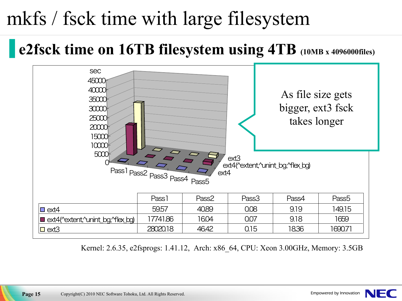## mkfs / fsck time with large filesystem

#### ▐ **e2fsck time on 16TB filesystem using 4TB (10MB <sup>x</sup> 4096000files)**



Kernel: 2.6.35, e2fsprogs: 1.41.12, Arch: x86\_64, CPU: Xeon 3.00GHz, Memory: 3.5GB

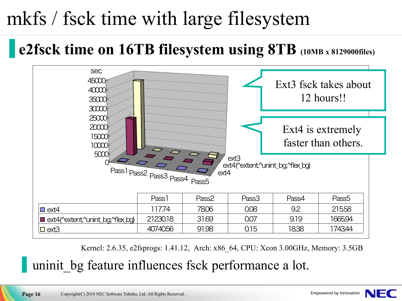## mkfs / fsck time with large filesystem

#### ▐ **e2fsck time on 16TB filesystem using 8TB (10MB <sup>x</sup> 8129000files)**



Kernel: 2.6.35, e2fsprogs: 1.41.12, Arch: x86\_64, CPU: Xeon 3.00GHz, Memory: 3.5GB

uninit bg feature influences fsck performance a lot.

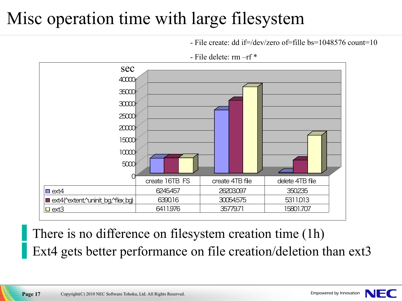#### Misc operation time with large filesystem

 $-$  File create: dd if=/dev/zero of=fille bs=1048576 count=10



- File delete: rm –rf \*

There is no difference on filesystem creation time (1h) Ext4 gets better performance on file creation/deletion than ext3

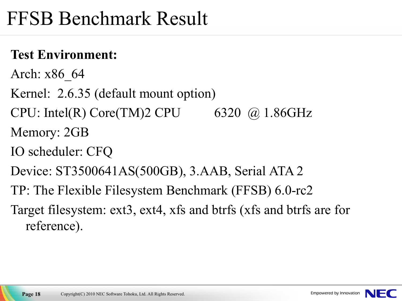#### FFSB Benchmark Result

#### **Test Environment:**

- Arch: x86\_64
- Kernel: 2.6.35 (default mount option)
- CPU: Intel(R) Core(TM)2 CPU 6320  $\omega$  1.86GHz Memory: 2GB
- IO scheduler: CFQ
- Device: ST3500641AS(500GB), 3.AAB, Serial ATA 2
- TP: The Flexible Filesystem Benchmark (FFSB) 6.0-rc2
- Target filesystem: ext3, ext4, xfs and btrfs (xfs and btrfs are for reference).



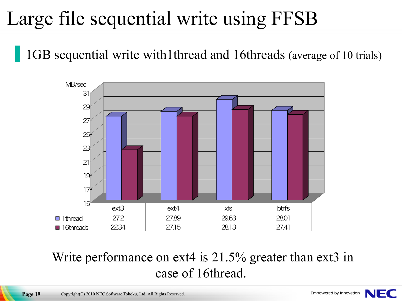## Large file sequential write using FFSB

1GB sequential write with1thread and 16threads (average of 10 trials)



#### Write performance on ext4 is 21.5% greater than ext3 in case of 16thread.

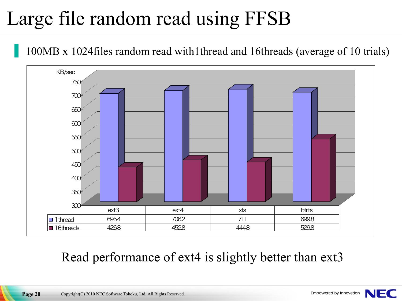## Large file random read using FFSB

100MB x 1024files random read with1thread and 16threads (average of 10 trials)



#### Read performance of ext4 is slightly better than ext3

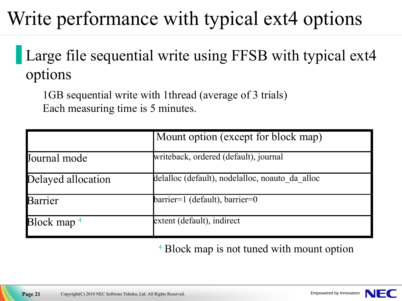## Write performance with typical ext4 options

#### Large file sequential write using FFSB with typical ext4 options

1GB sequential write with 1thread (average of 3 trials) Each measuring time is 5 minutes.

|                                            | Mount option (except for block map)             |  |
|--------------------------------------------|-------------------------------------------------|--|
| Journal mode                               | writeback, ordered (default), journal           |  |
| Delayed allocation                         | delalloc (default), nodelalloc, noauto da alloc |  |
| Barrier                                    | $barrier=1$ (default), barrier=0                |  |
| $\overline{\text{Block map}}$ <sup>4</sup> | extent (default), indirect                      |  |

#### <sup>4</sup> Block map is not tuned with mount option

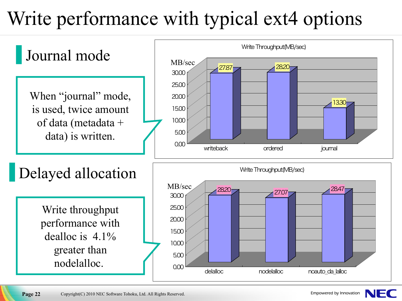## Write performance with typical ext4 options



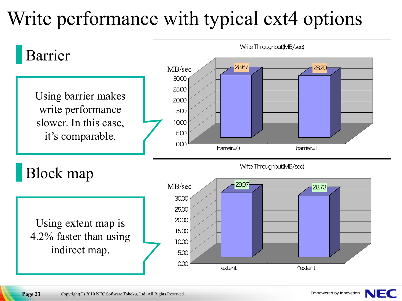## Write performance with typical ext4 options



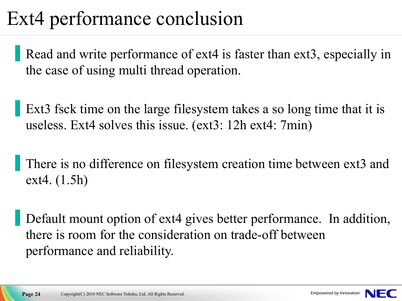### Ext4 performance conclusion

Read and write performance of ext4 is faster than ext3, especially in the case of using multi thread operation.

Ext3 fsck time on the large filesystem takes a so long time that it is useless. Ext4 solves this issue. (ext3: 12h ext4: 7min)

There is no difference on filesystem creation time between ext3 and ext4. (1.5h)

Default mount option of ext4 gives better performance. In addition, there is room for the consideration on trade-off between performance and reliability.

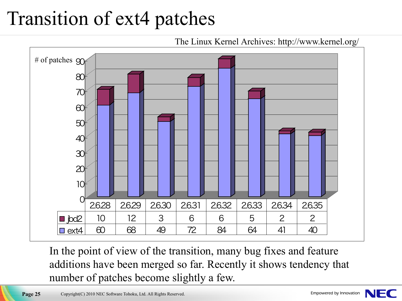## Transition of ext4 patches



In the point of view of the transition, many bug fixes and feature additions have been merged so far. Recently it shows tendency that number of patches become slightly a few.

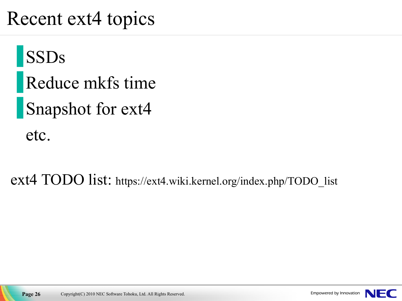#### <span id="page-25-0"></span>Recent ext4 topics

**SSDs** Reduce mkfs time **Snapshot for ext4** etc.

ext4 TODO list: https://ext4.wiki.kernel.org/index.php/TODO\_list

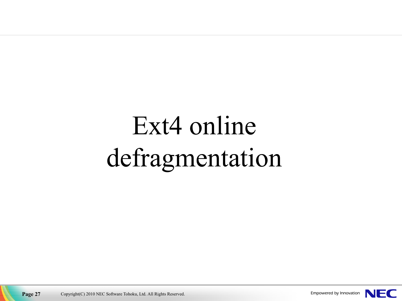# Ext4 online defragmentation



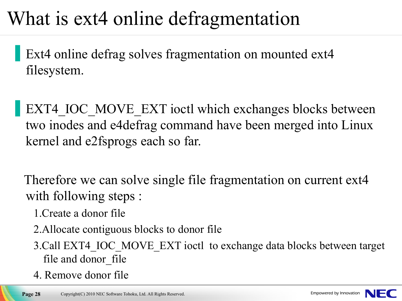#### <span id="page-27-0"></span>What is ext4 online defragmentation

Ext4 online defrag solves fragmentation on mounted ext4 filesystem.

EXT4\_IOC\_MOVE\_EXT ioctl which exchanges blocks between two inodes and e4defrag command have been merged into Linux kernel and e2fsprogs each so far.

Therefore we can solve single file fragmentation on current ext4 with following steps :

- 1.Create a donor file
- 2.Allocate contiguous blocks to donor file
- 3.Call EXT4\_IOC\_MOVE\_EXT ioctl to exchange data blocks between target file and donor file
- 4. Remove donor file

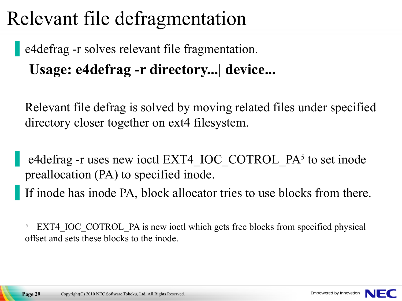#### <span id="page-28-0"></span>Relevant file defragmentation

e4defrag -r solves relevant file fragmentation. **Usage: e4defrag -r directory...| device...**

Relevant file defrag is solved by moving related files under specified directory closer together on ext4 filesystem.

e4defrag -r uses new ioctl EXT4 IOC COTROL PA<sup>5</sup> to set inode preallocation (PA) to specified inode.

If inode has inode PA, block allocator tries to use blocks from there.

<sup>5</sup> EXT4 IOC COTROL PA is new ioctl which gets free blocks from specified physical offset and sets these blocks to the inode.

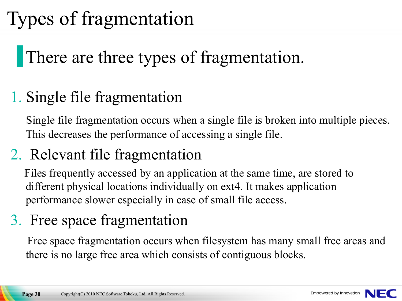## Types of fragmentation

#### There are three types of fragmentation.

#### 1. Single file fragmentation

Single file fragmentation occurs when a single file is broken into multiple pieces. This decreases the performance of accessing a single file.

#### 2. Relevant file fragmentation

Files frequently accessed by an application at the same time, are stored to different physical locations individually on ext4. It makes application performance slower especially in case of small file access.

#### 3. Free space fragmentation

Free space fragmentation occurs when filesystem has many small free areas and there is no large free area which consists of contiguous blocks.

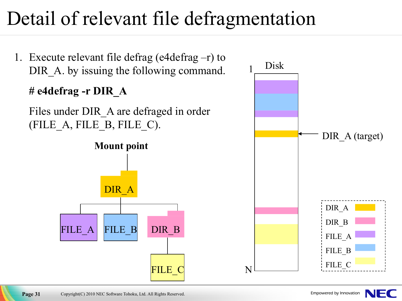## Detail of relevant file defragmentation



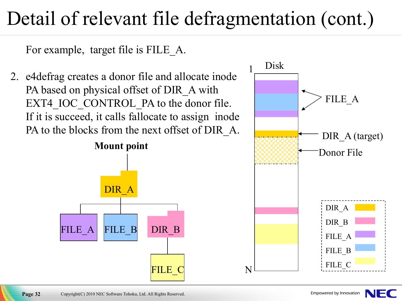### Detail of relevant file defragmentation (cont.)

For example, target file is FILE\_A.

2. e4defrag creates a donor file and allocate inode PA based on physical offset of DIR A with EXT4 IOC CONTROL PA to the donor file. If it is succeed, it calls fallocate to assign inode PA to the blocks from the next offset of DIR A.



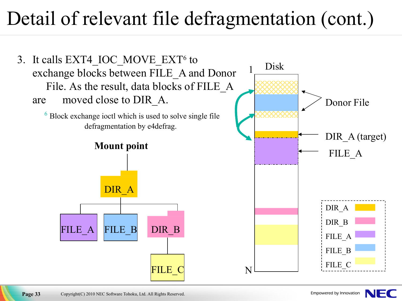#### Detail of relevant file defragmentation (cont.)



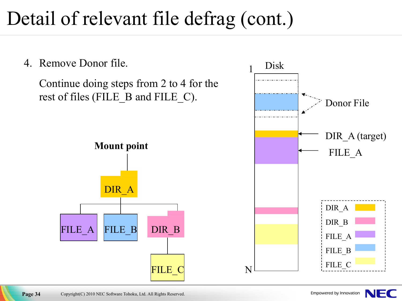### Detail of relevant file defrag (cont.)

4. Remove Donor file.

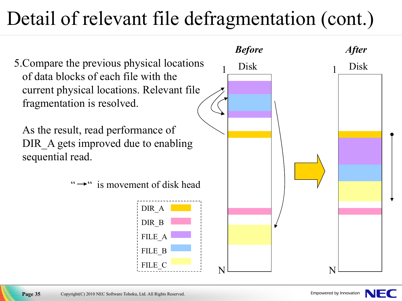### Detail of relevant file defragmentation (cont.)



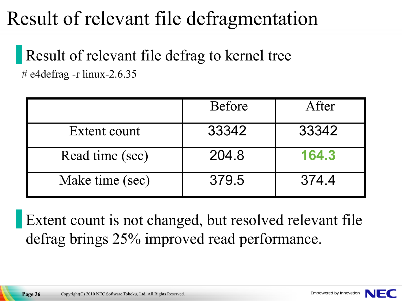#### Result of relevant file defragmentation

Result of relevant file defrag to kernel tree # e4defrag -r linux-2.6.35

|                 | <b>Before</b> | After |
|-----------------|---------------|-------|
| Extent count    | 33342         | 33342 |
| Read time (sec) | 204.8         | 164.3 |
| Make time (sec) | 379.5         | 374.4 |

Extent count is not changed, but resolved relevant file defrag brings 25% improved read performance.

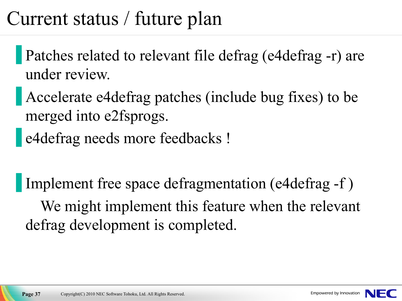#### <span id="page-36-0"></span>Current status / future plan

- Patches related to relevant file defrag (e4defrag -r) are under review.
- Accelerate e4defrag patches (include bug fixes) to be merged into e2fsprogs.
- e4defrag needs more feedbacks !

Implement free space defragmentation (e4defrag -f) We might implement this feature when the relevant defrag development is completed.

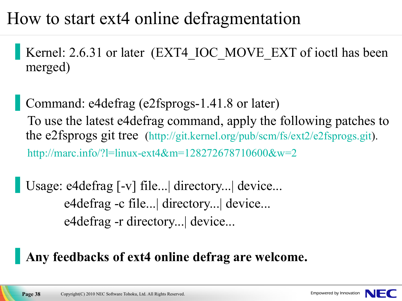#### How to start ext4 online defragmentation

Kernel: 2.6.31 or later (EXT4\_IOC\_MOVE\_EXT of ioctl has been merged)

Command: e4defrag (e2fsprogs-1.41.8 or later) To use the latest e4defrag command, apply the following patches to the e2fsprogs git tree [\(http://git.kernel.org/pub/scm/fs/ext2/e2fsprogs.git\)](http://git.kernel.org/pub/scm/fs/ext2/e2fsprogs.git). <http://marc.info/?l=linux-ext4&m=128272678710600&w=2>

Usage: e4defrag [-v] file...| directory...| device... e4defrag -c file...| directory...| device... e4defrag -r directory...| device...

#### ▐ **Any feedbacks of ext4 online defrag are welcome.**

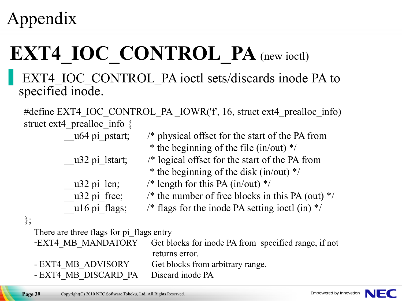#### Appendix

};

# **EXT4 IOC CONTROL PA** (new ioctl)

#### EXT4\_IOC\_CONTROL\_PA ioctl sets/discards inode PA to specified inode.

#define EXT4\_IOC\_CONTROL\_PA \_IOWR('f' , 16, struct ext4\_prealloc\_info) struct ext4\_prealloc\_info {

- 
- 
- 
- \_\_u64 pi\_pstart; /\* physical offset for the start of the PA from \* the beginning of the file (in/out) \*/
- u32 pi lstart;  $/*$  logical offset for the start of the PA from
	- \* the beginning of the disk (in/out) \*/
- $\mu$ 32 pi\_len;  $\frac{\pi}{2}$  /\* length for this PA (in/out) \*/
- $\mu$ 32 pi\_free;  $\prime^*$  the number of free blocks in this PA (out)  $\prime$ /
- u16 pi flags;  $\frac{\pi}{2}$  /\* flags for the inode PA setting ioctl (in) \*/

There are three flags for pi\_flags entry

-EXT4 MB MANDATORY Get blocks for inode PA from specified range, if not returns error. - EXT4 MB ADVISORY Get blocks from arbitrary range. - EXT4 MB\_DISCARD\_PA Discard inode PA

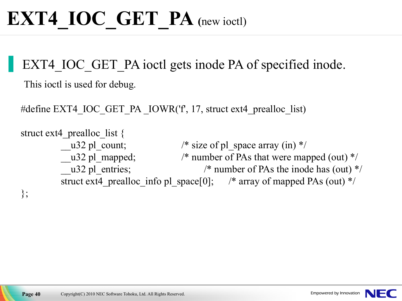EXT4 IOC GET PA ioctl gets inode PA of specified inode.

This ioctl is used for debug.

#define EXT4\_IOC\_GET\_PA \_IOWR('f' , 17, struct ext4\_prealloc\_list)

```
struct ext4 prealloc list {
         \text{u32 pl\_count}; /* size of pl_space array (in) */
         __u32 pl_mapped; /* number of PAs that were mapped (out) */
        u32 pl entries; /* number of PAs the inode has (out) */struct ext4 prealloc info pl space[0]; /* array of mapped PAs (out) */
};
```